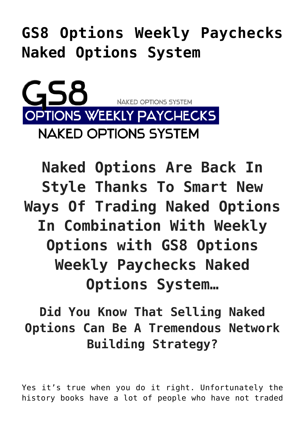**[GS8 Options Weekly Paychecks](https://optionsweeklypaychecks.com/gs8-options-weekly-paychecks-naked-options-system/) [Naked Options System](https://optionsweeklypaychecks.com/gs8-options-weekly-paychecks-naked-options-system/)**

NAKED OPTIONS SYSTEM **OPTIONS WEEKLY PAYCHECKS NAKED OPTIONS SYSTEM** 

**Naked Options Are Back In Style Thanks To Smart New Ways Of Trading Naked Options In Combination With Weekly Options with GS8 Options Weekly Paychecks Naked Options System…**

**Did You Know That Selling Naked Options Can Be A Tremendous Network Building Strategy?**

Yes it's true when you do it right. Unfortunately the history books have a lot of people who have not traded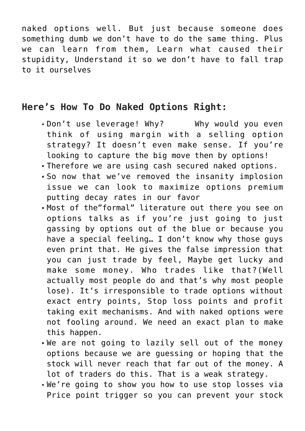naked options well. But just because someone does something dumb we don't have to do the same thing. Plus we can learn from them, Learn what caused their stupidity, Understand it so we don't have to fall trap to it ourselves

## **Here's How To Do Naked Options Right:**

- Don't use leverage! Why? Why would you even think of using margin with a selling option strategy? It doesn't even make sense. If you're looking to capture the big move then by options!
- Therefore we are using cash secured naked options.
- So now that we've removed the insanity implosion issue we can look to maximize options premium putting decay rates in our favor
- Most of the"formal" literature out there you see on options talks as if you're just going to just gassing by options out of the blue or because you have a special feeling… I don't know why those guys even print that. He gives the false impression that you can just trade by feel, Maybe get lucky and make some money. Who trades like that?(Well actually most people do and that's why most people lose). It's irresponsible to trade options without exact entry points, Stop loss points and profit taking exit mechanisms. And with naked options were not fooling around. We need an exact plan to make this happen.
- We are not going to lazily sell out of the money options because we are guessing or hoping that the stock will never reach that far out of the money. A lot of traders do this. That is a weak strategy.
- We're going to show you how to use stop losses via Price point trigger so you can prevent your stock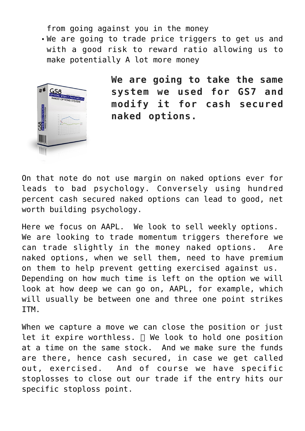from going against you in the money

We are going to trade price triggers to get us and with a good risk to reward ratio allowing us to make potentially A lot more money



**We are going to take the same system we used for GS7 and modify it for cash secured naked options.**

On that note do not use margin on naked options ever for leads to bad psychology. Conversely using hundred percent cash secured naked options can lead to good, net worth building psychology.

Here we focus on AAPL. We look to sell weekly options. We are looking to trade momentum triggers therefore we can trade slightly in the money naked options. Are naked options, when we sell them, need to have premium on them to help prevent getting exercised against us. Depending on how much time is left on the option we will look at how deep we can go on, AAPL, for example, which will usually be between one and three one point strikes ITM.

When we capture a move we can close the position or just let it expire worthless.  $\Box$  We look to hold one position at a time on the same stock. And we make sure the funds are there, hence cash secured, in case we get called out, exercised. And of course we have specific stoplosses to close out our trade if the entry hits our specific stoploss point.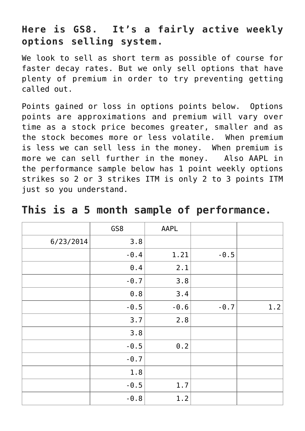## **Here is GS8. It's a fairly active weekly options selling system.**

We look to sell as short term as possible of course for faster decay rates. But we only sell options that have plenty of premium in order to try preventing getting called out.

Points gained or loss in options points below. Options points are approximations and premium will vary over time as a stock price becomes greater, smaller and as the stock becomes more or less volatile. When premium is less we can sell less in the money. When premium is more we can sell further in the money. Also AAPL in the performance sample below has 1 point weekly options strikes so 2 or 3 strikes ITM is only 2 to 3 points ITM just so you understand.

|           | GS8            | AAPL   |        |     |
|-----------|----------------|--------|--------|-----|
| 6/23/2014 | 3.8            |        |        |     |
|           | $-0.4$         | 1.21   | $-0.5$ |     |
|           | $\theta$ . $4$ | 2.1    |        |     |
|           | $-0.7$         | 3.8    |        |     |
|           | $0.8$          | 3.4    |        |     |
|           | $-0.5$         | $-0.6$ | $-0.7$ | 1.2 |
|           | 3.7            | 2.8    |        |     |
|           | 3.8            |        |        |     |
|           | $-0.5$         | $0.2$  |        |     |
|           | $-0.7$         |        |        |     |
|           | 1.8            |        |        |     |
|           | $-0.5$         | 1.7    |        |     |
|           | $-0.8$         | 1.2    |        |     |

|  |  |  |  |  |  |  | This is a 5 month sample of performance. |
|--|--|--|--|--|--|--|------------------------------------------|
|--|--|--|--|--|--|--|------------------------------------------|